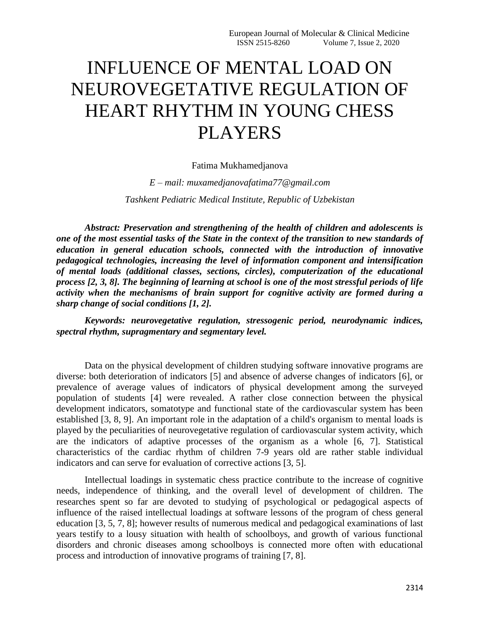# INFLUENCE OF MENTAL LOAD ON NEUROVEGETATIVE REGULATION OF HEART RHYTHM IN YOUNG CHESS PLAYERS

#### Fatima Mukhamedjanova

*E – mail: muxamedjanovafatima77@gmail.com Tashkent Pediatric Medical Institute, Republic of Uzbekistan*

*Abstract: Preservation and strengthening of the health of children and adolescents is one of the most essential tasks of the State in the context of the transition to new standards of education in general education schools, connected with the introduction of innovative pedagogical technologies, increasing the level of information component and intensification of mental loads (additional classes, sections, circles), computerization of the educational process [2, 3, 8]. The beginning of learning at school is one of the most stressful periods of life activity when the mechanisms of brain support for cognitive activity are formed during a sharp change of social conditions [1, 2].* 

*Keywords: neurovegetative regulation, stressogenic period, neurodynamic indices, spectral rhythm, supragmentary and segmentary level.*

Data on the physical development of children studying software innovative programs are diverse: both deterioration of indicators [5] and absence of adverse changes of indicators [6], or prevalence of average values of indicators of physical development among the surveyed population of students [4] were revealed. A rather close connection between the physical development indicators, somatotype and functional state of the cardiovascular system has been established [3, 8, 9]. An important role in the adaptation of a child's organism to mental loads is played by the peculiarities of neurovegetative regulation of cardiovascular system activity, which are the indicators of adaptive processes of the organism as a whole [6, 7]. Statistical characteristics of the cardiac rhythm of children 7-9 years old are rather stable individual indicators and can serve for evaluation of corrective actions [3, 5].

Intellectual loadings in systematic chess practice contribute to the increase of cognitive needs, independence of thinking, and the overall level of development of children. The researches spent so far are devoted to studying of psychological or pedagogical aspects of influence of the raised intellectual loadings at software lessons of the program of chess general education [3, 5, 7, 8]; however results of numerous medical and pedagogical examinations of last years testify to a lousy situation with health of schoolboys, and growth of various functional disorders and chronic diseases among schoolboys is connected more often with educational process and introduction of innovative programs of training [7, 8].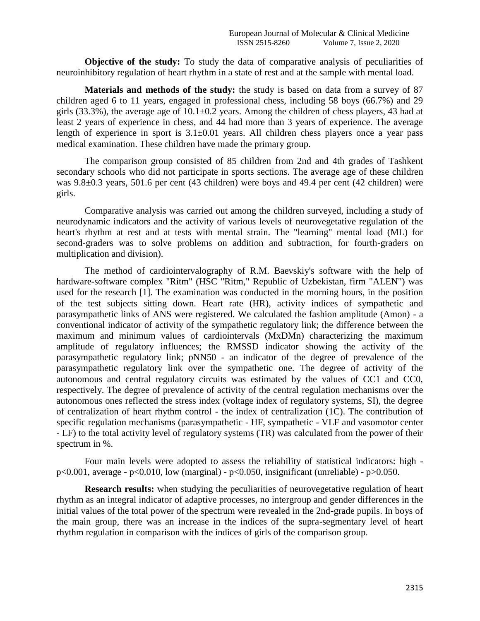**Objective of the study:** To study the data of comparative analysis of peculiarities of neuroinhibitory regulation of heart rhythm in a state of rest and at the sample with mental load.

**Materials and methods of the study:** the study is based on data from a survey of 87 children aged 6 to 11 years, engaged in professional chess, including 58 boys (66.7%) and 29 girls (33.3%), the average age of  $10.1 \pm 0.2$  years. Among the children of chess players, 43 had at least 2 years of experience in chess, and 44 had more than 3 years of experience. The average length of experience in sport is 3.1±0.01 years. All children chess players once a year pass medical examination. These children have made the primary group.

The comparison group consisted of 85 children from 2nd and 4th grades of Tashkent secondary schools who did not participate in sports sections. The average age of these children was 9.8±0.3 years, 501.6 per cent (43 children) were boys and 49.4 per cent (42 children) were girls.

Comparative analysis was carried out among the children surveyed, including a study of neurodynamic indicators and the activity of various levels of neurovegetative regulation of the heart's rhythm at rest and at tests with mental strain. The "learning" mental load (ML) for second-graders was to solve problems on addition and subtraction, for fourth-graders on multiplication and division).

The method of cardiointervalography of R.M. Baevskiy's software with the help of hardware-software complex "Ritm" (HSC "Ritm," Republic of Uzbekistan, firm "ALEN") was used for the research [1]. The examination was conducted in the morning hours, in the position of the test subjects sitting down. Heart rate (HR), activity indices of sympathetic and parasympathetic links of ANS were registered. We calculated the fashion amplitude (Amon) - a conventional indicator of activity of the sympathetic regulatory link; the difference between the maximum and minimum values of cardiointervals (MxDMn) characterizing the maximum amplitude of regulatory influences; the RMSSD indicator showing the activity of the parasympathetic regulatory link; pNN50 - an indicator of the degree of prevalence of the parasympathetic regulatory link over the sympathetic one. The degree of activity of the autonomous and central regulatory circuits was estimated by the values of CC1 and CC0, respectively. The degree of prevalence of activity of the central regulation mechanisms over the autonomous ones reflected the stress index (voltage index of regulatory systems, SI), the degree of centralization of heart rhythm control - the index of centralization (1C). The contribution of specific regulation mechanisms (parasympathetic - HF, sympathetic - VLF and vasomotor center - LF) to the total activity level of regulatory systems (TR) was calculated from the power of their spectrum in %.

Four main levels were adopted to assess the reliability of statistical indicators: high  $p<0.001$ , average -  $p<0.010$ , low (marginal) -  $p<0.050$ , insignificant (unreliable) -  $p>0.050$ .

**Research results:** when studying the peculiarities of neurovegetative regulation of heart rhythm as an integral indicator of adaptive processes, no intergroup and gender differences in the initial values of the total power of the spectrum were revealed in the 2nd-grade pupils. In boys of the main group, there was an increase in the indices of the supra-segmentary level of heart rhythm regulation in comparison with the indices of girls of the comparison group.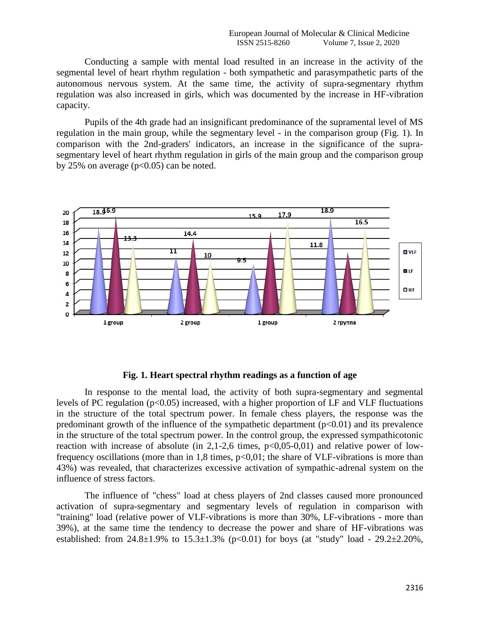Conducting a sample with mental load resulted in an increase in the activity of the segmental level of heart rhythm regulation - both sympathetic and parasympathetic parts of the autonomous nervous system. At the same time, the activity of supra-segmentary rhythm regulation was also increased in girls, which was documented by the increase in HF-vibration capacity.

Pupils of the 4th grade had an insignificant predominance of the supramental level of MS regulation in the main group, while the segmentary level - in the comparison group (Fig. 1). In comparison with the 2nd-graders' indicators, an increase in the significance of the suprasegmentary level of heart rhythm regulation in girls of the main group and the comparison group by 25% on average  $(p<0.05)$  can be noted.



### **Fig. 1. Heart spectral rhythm readings as a function of age**

In response to the mental load, the activity of both supra-segmentary and segmental levels of PC regulation  $(p<0.05)$  increased, with a higher proportion of LF and VLF fluctuations in the structure of the total spectrum power. In female chess players, the response was the predominant growth of the influence of the sympathetic department  $(p<0.01)$  and its prevalence in the structure of the total spectrum power. In the control group, the expressed sympathicotonic reaction with increase of absolute (in  $2,1-2,6$  times,  $p<0.05-0.01$ ) and relative power of lowfrequency oscillations (more than in 1,8 times,  $p<0,01$ ; the share of VLF-vibrations is more than 43%) was revealed, that characterizes excessive activation of sympathic-adrenal system on the influence of stress factors.

The influence of "chess" load at chess players of 2nd classes caused more pronounced activation of supra-segmentary and segmentary levels of regulation in comparison with "training" load (relative power of VLF-vibrations is more than 30%, LF-vibrations - more than 39%), at the same time the tendency to decrease the power and share of HF-vibrations was established: from  $24.8 \pm 1.9\%$  to  $15.3 \pm 1.3\%$  (p<0.01) for boys (at "study" load -  $29.2 \pm 2.20\%$ ,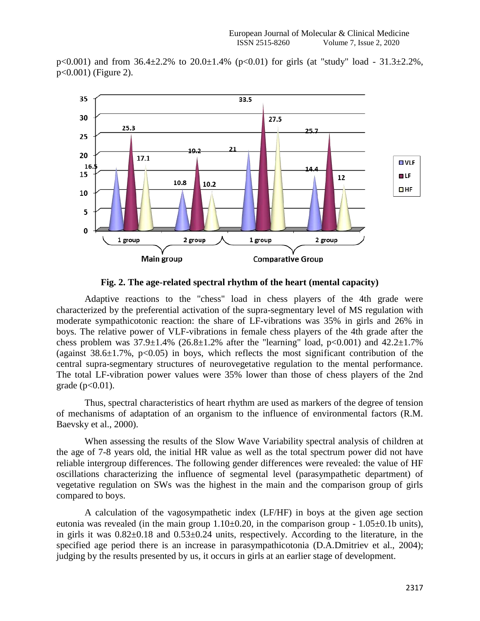



**Fig. 2. The age-related spectral rhythm of the heart (mental capacity)**

Adaptive reactions to the "chess" load in chess players of the 4th grade were characterized by the preferential activation of the supra-segmentary level of MS regulation with moderate sympathicotonic reaction: the share of LF-vibrations was 35% in girls and 26% in boys. The relative power of VLF-vibrations in female chess players of the 4th grade after the chess problem was  $37.9 \pm 1.4\%$  (26.8 $\pm 1.2\%$  after the "learning" load, p<0.001) and  $42.2 \pm 1.7\%$ (against  $38.6\pm1.7\%$ , p<0.05) in boys, which reflects the most significant contribution of the central supra-segmentary structures of neurovegetative regulation to the mental performance. The total LF-vibration power values were 35% lower than those of chess players of the 2nd  $grade (p < 0.01).$ 

Thus, spectral characteristics of heart rhythm are used as markers of the degree of tension of mechanisms of adaptation of an organism to the influence of environmental factors (R.M. Baevsky et al., 2000).

When assessing the results of the Slow Wave Variability spectral analysis of children at the age of 7-8 years old, the initial HR value as well as the total spectrum power did not have reliable intergroup differences. The following gender differences were revealed: the value of HF oscillations characterizing the influence of segmental level (parasympathetic department) of vegetative regulation on SWs was the highest in the main and the comparison group of girls compared to boys.

A calculation of the vagosympathetic index (LF/HF) in boys at the given age section eutonia was revealed (in the main group  $1.10\pm0.20$ , in the comparison group -  $1.05\pm0.1b$  units), in girls it was 0.82±0.18 and 0.53±0.24 units, respectively. According to the literature, in the specified age period there is an increase in parasympathicotonia (D.A.Dmitriev et al., 2004); judging by the results presented by us, it occurs in girls at an earlier stage of development.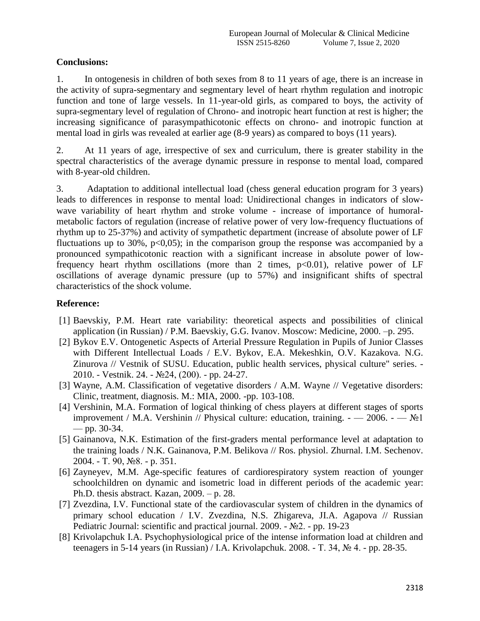## **Conclusions:**

1. In ontogenesis in children of both sexes from 8 to 11 years of age, there is an increase in the activity of supra-segmentary and segmentary level of heart rhythm regulation and inotropic function and tone of large vessels. In 11-year-old girls, as compared to boys, the activity of supra-segmentary level of regulation of Chrono- and inotropic heart function at rest is higher; the increasing significance of parasympathicotonic effects on chrono- and inotropic function at mental load in girls was revealed at earlier age (8-9 years) as compared to boys (11 years).

2. At 11 years of age, irrespective of sex and curriculum, there is greater stability in the spectral characteristics of the average dynamic pressure in response to mental load, compared with 8-year-old children.

3. Adaptation to additional intellectual load (chess general education program for 3 years) leads to differences in response to mental load: Unidirectional changes in indicators of slowwave variability of heart rhythm and stroke volume - increase of importance of humoralmetabolic factors of regulation (increase of relative power of very low-frequency fluctuations of rhythm up to 25-37%) and activity of sympathetic department (increase of absolute power of LF fluctuations up to 30%,  $p<0,05$ ; in the comparison group the response was accompanied by a pronounced sympathicotonic reaction with a significant increase in absolute power of lowfrequency heart rhythm oscillations (more than 2 times,  $p<0.01$ ), relative power of LF oscillations of average dynamic pressure (up to 57%) and insignificant shifts of spectral characteristics of the shock volume.

## **Reference:**

- [1] Baevskiy, P.M. Heart rate variability: theoretical aspects and possibilities of clinical application (in Russian) / P.M. Baevskiy, G.G. Ivanov. Moscow: Medicine, 2000. –p. 295.
- [2] Bykov E.V. Ontogenetic Aspects of Arterial Pressure Regulation in Pupils of Junior Classes with Different Intellectual Loads / E.V. Bykov, E.A. Mekeshkin, O.V. Kazakova. N.G. Zinurova // Vestnik of SUSU. Education, public health services, physical culture" series. - 2010. - Vestnik. 24. - №24, (200). - pp. 24-27.
- [3] Wayne, A.M. Classification of vegetative disorders / A.M. Wayne // Vegetative disorders: Clinic, treatment, diagnosis. M.: MIA, 2000. -pp. 103-108.
- [4] Vershinin, M.A. Formation of logical thinking of chess players at different stages of sports improvement / M.A. Vershinin // Physical culture: education, training.  $-$  2006.  $\mathbb{N}^2$ 1 — pp. 30-34.
- [5] Gainanova, N.K. Estimation of the first-graders mental performance level at adaptation to the training loads / N.K. Gainanova, P.M. Belikova // Ros. physiol. Zhurnal. I.M. Sechenov. 2004. - Т. 90, №8. - p. 351.
- [6] Zayneyev, M.M. Age-specific features of cardiorespiratory system reaction of younger schoolchildren on dynamic and isometric load in different periods of the academic year: Ph.D. thesis abstract. Kazan, 2009. – p. 28.
- [7] Zvezdina, I.V. Functional state of the cardiovascular system of children in the dynamics of primary school education / I.V. Zvezdina, N.S. Zhigareva, JI.A. Agapova // Russian Pediatric Journal: scientific and practical journal. 2009. - №2. - pp. 19-23
- [8] Krivolapchuk I.A. Psychophysiological price of the intense information load at children and teenagers in 5-14 years (in Russian) / I.A. Krivolapchuk. 2008. - T. 34,  $\mathcal{N}_2$  4. - pp. 28-35.